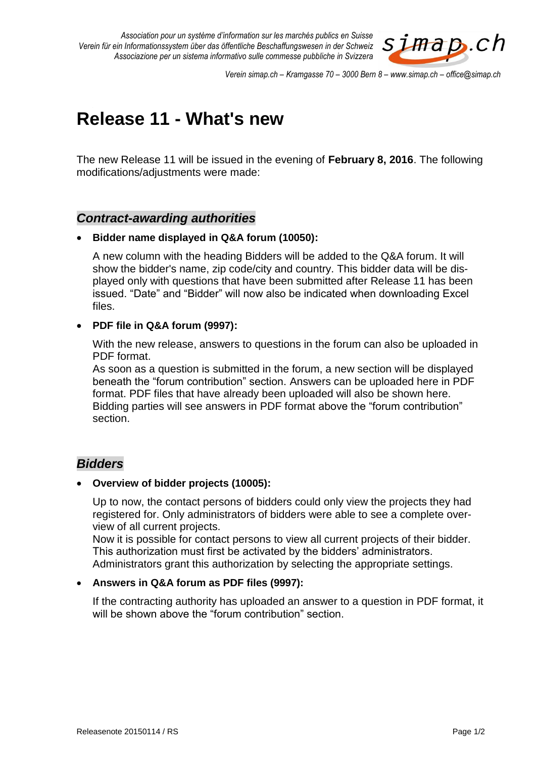*Association pour un système d'information sur les marchés publics en Suisse Verein für ein Informationssystem über das öffentliche Beschaffungswesen in der Schweiz Associazione per un sistema informativo sulle commesse pubbliche in Svizzera*



*Verein simap.ch – Kramgasse 70 – 3000 Bern 8 – www.simap.ch – office@simap.ch*

# **Release 11 - What's new**

The new Release 11 will be issued in the evening of **February 8, 2016**. The following modifications/adjustments were made:

## *Contract-awarding authorities*

#### **Bidder name displayed in Q&A forum (10050):**

A new column with the heading Bidders will be added to the Q&A forum. It will show the bidder's name, zip code/city and country. This bidder data will be displayed only with questions that have been submitted after Release 11 has been issued. "Date" and "Bidder" will now also be indicated when downloading Excel files.

#### **PDF file in Q&A forum (9997):**

With the new release, answers to questions in the forum can also be uploaded in PDF format.

As soon as a question is submitted in the forum, a new section will be displayed beneath the "forum contribution" section. Answers can be uploaded here in PDF format. PDF files that have already been uploaded will also be shown here. Bidding parties will see answers in PDF format above the "forum contribution" section.

## *Bidders*

#### **Overview of bidder projects (10005):**

Up to now, the contact persons of bidders could only view the projects they had registered for. Only administrators of bidders were able to see a complete overview of all current projects.

Now it is possible for contact persons to view all current projects of their bidder. This authorization must first be activated by the bidders' administrators. Administrators grant this authorization by selecting the appropriate settings.

## **Answers in Q&A forum as PDF files (9997):**

If the contracting authority has uploaded an answer to a question in PDF format, it will be shown above the "forum contribution" section.